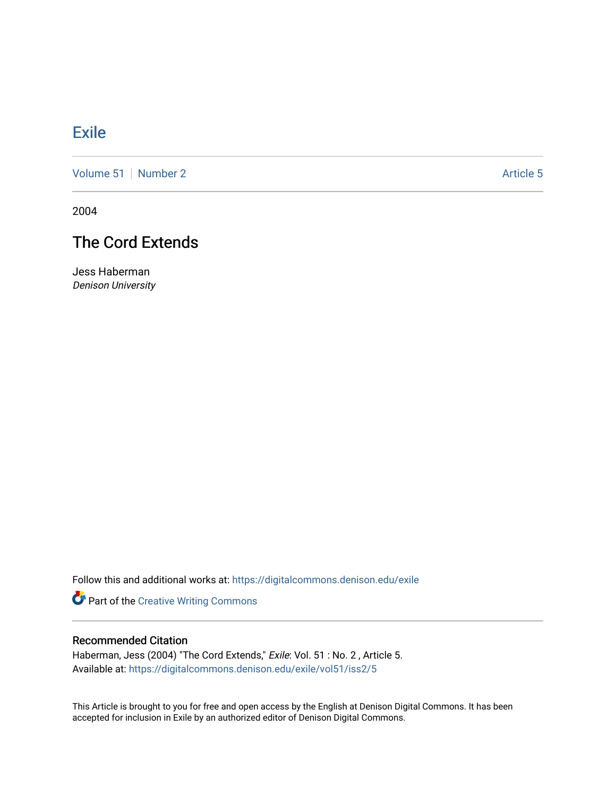## [Exile](https://digitalcommons.denison.edu/exile)

[Volume 51](https://digitalcommons.denison.edu/exile/vol51) [Number 2](https://digitalcommons.denison.edu/exile/vol51/iss2) Article 5

2004

# The Cord Extends

Jess Haberman Denison University

Follow this and additional works at: [https://digitalcommons.denison.edu/exile](https://digitalcommons.denison.edu/exile?utm_source=digitalcommons.denison.edu%2Fexile%2Fvol51%2Fiss2%2F5&utm_medium=PDF&utm_campaign=PDFCoverPages) 

Part of the [Creative Writing Commons](http://network.bepress.com/hgg/discipline/574?utm_source=digitalcommons.denison.edu%2Fexile%2Fvol51%2Fiss2%2F5&utm_medium=PDF&utm_campaign=PDFCoverPages) 

## Recommended Citation

Haberman, Jess (2004) "The Cord Extends," Exile: Vol. 51 : No. 2 , Article 5. Available at: [https://digitalcommons.denison.edu/exile/vol51/iss2/5](https://digitalcommons.denison.edu/exile/vol51/iss2/5?utm_source=digitalcommons.denison.edu%2Fexile%2Fvol51%2Fiss2%2F5&utm_medium=PDF&utm_campaign=PDFCoverPages) 

This Article is brought to you for free and open access by the English at Denison Digital Commons. It has been accepted for inclusion in Exile by an authorized editor of Denison Digital Commons.